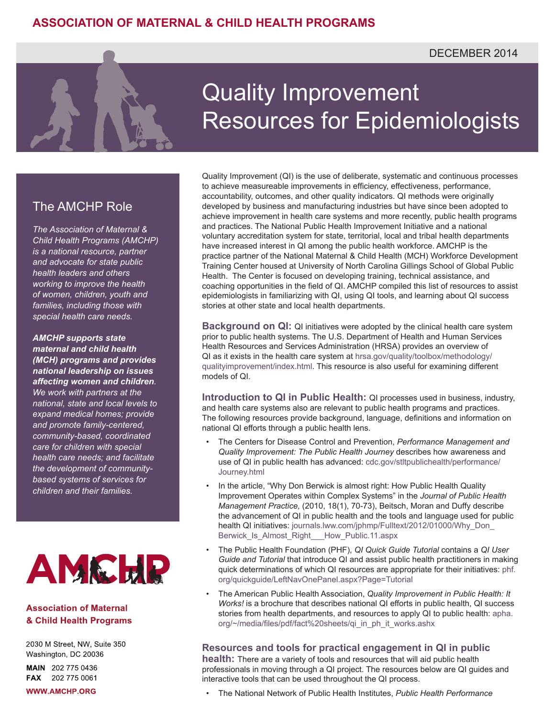## DECEMBER 2014

# The AMCHP Role

*The Association of Maternal & Child Health Programs (AMCHP) is a national resource, partner and advocate for state public health leaders and others working to improve the health of women, children, youth and families, including those with special health care needs.*

*AMCHP supports state maternal and child health (MCH) programs and provides national leadership on issues affecting women and children. We work with partners at the national, state and local levels to expand medical homes; provide and promote family-centered, community-based, coordinated care for children with special health care needs; and facilitate the development of communitybased systems of services for children and their families.*



#### **Association of Maternal** & Child Health Programs

2030 M Street, NW, Suite 350 Washington, DC 20036

MAIN 202 775 0436 FAX 202 775 0061

**WWW.AMCHP.ORG** 

# Quality Improvement Resources for Epidemiologists

Quality Improvement (QI) is the use of deliberate, systematic and continuous processes to achieve measureable improvements in efficiency, effectiveness, performance, accountability, outcomes, and other quality indicators. QI methods were originally developed by business and manufacturing industries but have since been adopted to achieve improvement in health care systems and more recently, public health programs and practices. The National Public Health Improvement Initiative and a national voluntary accreditation system for state, territorial, local and tribal health departments have increased interest in QI among the public health workforce. AMCHP is the practice partner of the National Maternal & Child Health (MCH) Workforce Development Training Center housed at University of North Carolina Gillings School of Global Public Health. The Center is focused on developing training, technical assistance, and coaching opportunities in the field of QI. AMCHP compiled this list of resources to assist epidemiologists in familiarizing with QI, using QI tools, and learning about QI success stories at other state and local health departments.

**Background on QI:** QI initiatives were adopted by the clinical health care system prior to public health systems. The U.S. Department of Health and Human Services Health Resources and Services Administration (HRSA) provides an overview of QI as it exists in the health care system at [hrsa.gov/quality/toolbox/methodology/](http://hrsa.gov/quality/toolbox/methodology/qualityimprovement/index.html) [qualityimprovement/index.html.](http://hrsa.gov/quality/toolbox/methodology/qualityimprovement/index.html) This resource is also useful for examining different models of QI.

**Introduction to QI in Public Health:** QI processes used in business, industry, and health care systems also are relevant to public health programs and practices. The following resources provide background, language, definitions and information on national QI efforts through a public health lens.

- The Centers for Disease Control and Prevention, *Performance Management and Quality Improvement: The Public Health Journey* describes how awareness and use of QI in public health has advanced: [cdc.gov/stltpublichealth/performance/](http://www.cdc.gov/stltpublichealth/performance/Journey.html) [Journey.html](http://www.cdc.gov/stltpublichealth/performance/Journey.html)
- In the article, "Why Don Berwick is almost right: How Public Health Quality Improvement Operates within Complex Systems" in the *Journal of Public Health Management Practice,* (2010, 18(1), 70-73), Beitsch, Moran and Duffy describe the advancement of QI in public health and the tools and language used for public health QI initiatives: [journals.lww.com/jphmp/Fulltext/2012/01000/Why\\_Don\\_](http://journals.lww.com/jphmp/Fulltext/2012/01000/Why_Don_Berwick_Is_Almost_Right___How_Public.11.aspx) Berwick Is Almost Right How Public.11.aspx
- The Public Health Foundation (PHF), *QI Quick Guide Tutorial* contains a *QI User Guide and Tutorial* that introduce QI and assist public health practitioners in making quick determinations of which QI resources are appropriate for their initiatives: [phf.](http://www.phf.org/quickguide/Content1Panel.aspx) [org/quickguide/LeftNavOnePanel.aspx?Page=Tutorial](http://www.phf.org/quickguide/Content1Panel.aspx)
- The American Public Health Association, *Quality Improvement in Public Health: It Works!* is a brochure that describes national QI efforts in public health, QI success stories from health departments, and resources to apply QI to public health: [apha.](http://apha.org/~/media/files/pdf/fact%20sheets/qi_in_ph_it_works.ashx) [org/~/media/files/pdf/fact%20sheets/qi\\_in\\_ph\\_it\\_works.ashx](http://apha.org/~/media/files/pdf/fact%20sheets/qi_in_ph_it_works.ashx)

#### **Resources and tools for practical engagement in QI in public**

**health:** There are a variety of tools and resources that will aid public health professionals in moving through a QI project. The resources below are QI guides and interactive tools that can be used throughout the QI process.

• The National Network of Public Health Institutes, *Public Health Performance*